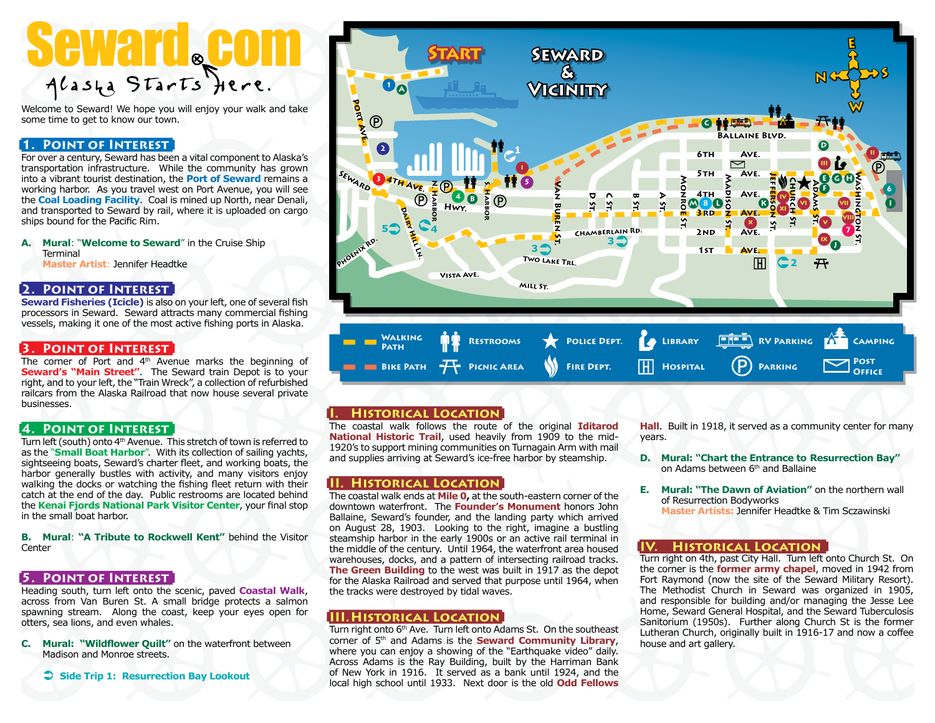# glasta Starts Jiere

Welcome to Seward! We hope you will enjoy your walk and take some time to get to know our town.

# **1. Point of Interest**

For over a century, Seward has been a vital component to Alaska's transportation infrastructure. While the community has grown into a vibrant tourist destination, the **Port of Seward** remains a working harbor. As you travel west on Port Avenue, you will see the **Coal Loading Facility**. Coal is mined up North, near Denali, and transported to Seward by rail, where it is uploaded on cargo ships bound for the Pacific Rim.

**A. Mural**: "**Welcome to Seward**" in the Cruise Ship Terminal **Master Artist**: Jennifer Headtke

#### **2. Point of Interest**

**Seward Fisheries (Icicle)** is also on your left, one of several fish processors in Seward. Seward attracts many commercial fishing vessels, making it one of the most active fishing ports in Alaska.

### **3. Point of Interest**

The corner of Port and 4<sup>th</sup> Avenue marks the beginning of **Seward's "Main Street"**. The Seward train Depot is to your right, and to your left, the "Train Wreck", a collection of refurbished railcars from the Alaska Railroad that now house several private businesses.

#### **4. Point of Interest**

Turn left (south) onto 4<sup>th</sup> Avenue. This stretch of town is referred to as the "**Small Boat Harbor**". With its collection of sailing yachts, sightseeing boats, Seward's charter fleet, and working boats, the harbor generally bustles with activity, and many visitors enjoy walking the docks or watching the fishing fleet return with their catch at the end of the day. Public restrooms are located behind the **Kenai Fjords National Park Visitor Center**, your final stop in the small boat harbor.

**B. Mural**: **"A Tribute to Rockwell Kent"** behind the Visitor **Center** 

#### **5. Point of Interest**

Heading south, turn left onto the scenic, paved **Coastal Walk**, across from Van Buren St. A small bridge protects a salmon spawning stream. Along the coast, keep your eyes open for otters, sea lions, and even whales.

**C. Mural: "Wildflower Quilt"** on the waterfront between Madison and Monroe streets.

 **Side Trip 1: Resurrection Bay Lookout**



# **I. Historical Location**

The coastal walk follows the route of the original **Iditarod National Historic Trail**, used heavily from 1909 to the mid-1920's to support mining communities on Turnagain Arm with mail and supplies arriving at Seward's ice-free harbor by steamship.

# **II. Historical Location**

The coastal walk ends at **Mile 0,** at the south-eastern corner of the downtown waterfront. The **Founder's Monument** honors John Ballaine, Seward's founder, and the landing party which arrived on August 28, 1903. Looking to the right, imagine a bustling steamship harbor in the early 1900s or an active rail terminal in the middle of the century. Until 1964, the waterfront area housed warehouses, docks, and a pattern of intersecting railroad tracks. **The Green Building** to the west was built in 1917 as the depot for the Alaska Railroad and served that purpose until 1964, when the tracks were destroyed by tidal waves.

#### **III.Historical Location**

Turn right onto 6<sup>th</sup> Ave. Turn left onto Adams St. On the southeast corner of 5th and Adams is the **Seward Community Library**, where you can enjoy a showing of the "Earthquake video" daily. Across Adams is the Ray Building, built by the Harriman Bank of New York in 1916. It served as a bank until 1924, and the local high school until 1933. Next door is the old **Odd Fellows** 

**Hall**. Built in 1918, it served as a community center for many years.

- **D. Mural: "Chart the Entrance to Resurrection Bay"** on Adams between 6<sup>th</sup> and Ballaine
- **E. Mural: "The Dawn of Aviation"** on the northern wall of Resurrection Bodyworks **Master Artists:** Jennifer Headtke & Tim Sczawinski

#### **HISTORICAL LOCATION**

Turn right on 4th, past City Hall. Turn left onto Church St. On the corner is the **former army chapel**, moved in 1942 from Fort Raymond (now the site of the Seward Military Resort). The Methodist Church in Seward was organized in 1905, and responsible for building and/or managing the Jesse Lee Home, Seward General Hospital, and the Seward Tuberculosis Sanitorium (1950s). Further along Church St is the former Lutheran Church, originally built in 1916-17 and now a coffee house and art gallery.